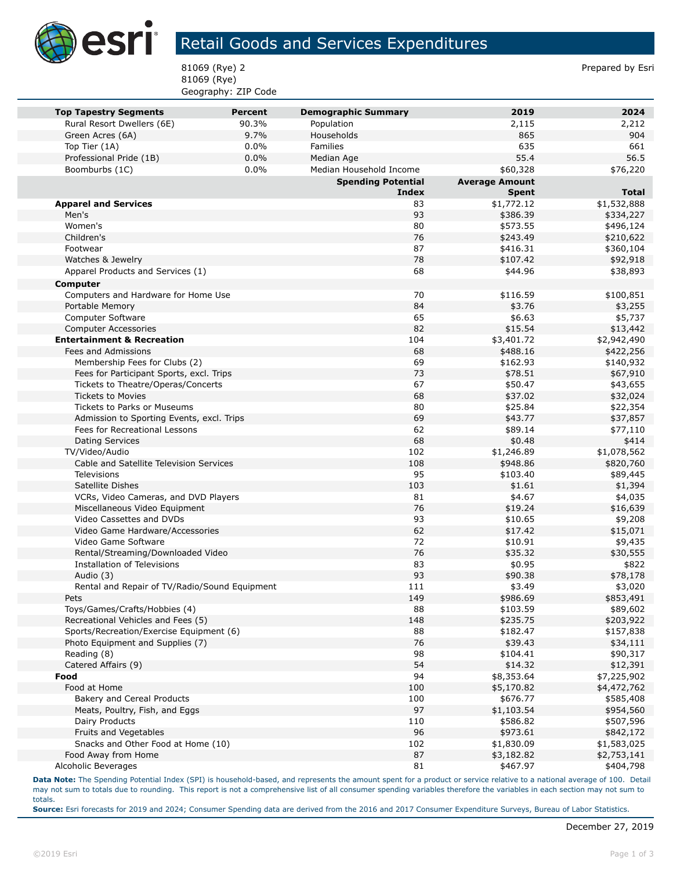

## Retail Goods and Services Expenditures

81069 (Rye) 2 Prepared by Esri 81069 (Rye) Geography: ZIP Code

| <b>Top Tapestry Segments</b>                    | <b>Percent</b> | <b>Demographic Summary</b> | 2019                     | 2024                       |
|-------------------------------------------------|----------------|----------------------------|--------------------------|----------------------------|
| Rural Resort Dwellers (6E)                      | 90.3%          | Population                 | 2,115                    | 2,212                      |
| Green Acres (6A)                                | 9.7%           | Households                 | 865                      | 904                        |
| Top Tier (1A)                                   | 0.0%           | <b>Families</b>            | 635                      | 661                        |
| Professional Pride (1B)                         | 0.0%           | Median Age                 | 55.4                     | 56.5                       |
| Boomburbs (1C)                                  | 0.0%           | Median Household Income    | \$60,328                 | \$76,220                   |
|                                                 |                | <b>Spending Potential</b>  | <b>Average Amount</b>    |                            |
|                                                 |                | <b>Index</b>               | <b>Spent</b>             | <b>Total</b>               |
| <b>Apparel and Services</b><br>Men's            |                | 83<br>93                   | \$1,772.12               | \$1,532,888                |
| Women's                                         |                | 80                         | \$386.39<br>\$573.55     | \$334,227                  |
| Children's                                      |                | 76                         | \$243.49                 | \$496,124<br>\$210,622     |
| Footwear                                        |                | 87                         | \$416.31                 | \$360,104                  |
| Watches & Jewelry                               |                | 78                         | \$107.42                 | \$92,918                   |
| Apparel Products and Services (1)               |                | 68                         | \$44.96                  | \$38,893                   |
|                                                 |                |                            |                          |                            |
| Computer<br>Computers and Hardware for Home Use |                | 70                         | \$116.59                 | \$100,851                  |
| Portable Memory                                 |                | 84                         | \$3.76                   | \$3,255                    |
| Computer Software                               |                | 65                         | \$6.63                   | \$5,737                    |
| <b>Computer Accessories</b>                     |                | 82                         | \$15.54                  | \$13,442                   |
| <b>Entertainment &amp; Recreation</b>           |                | 104                        | \$3,401.72               | \$2,942,490                |
| Fees and Admissions                             |                | 68                         | \$488.16                 | \$422,256                  |
| Membership Fees for Clubs (2)                   |                | 69                         | \$162.93                 | \$140,932                  |
| Fees for Participant Sports, excl. Trips        |                | 73                         | \$78.51                  | \$67,910                   |
| Tickets to Theatre/Operas/Concerts              |                | 67                         | \$50.47                  | \$43,655                   |
| <b>Tickets to Movies</b>                        |                | 68                         | \$37.02                  | \$32,024                   |
| Tickets to Parks or Museums                     |                | 80                         | \$25.84                  | \$22,354                   |
| Admission to Sporting Events, excl. Trips       |                | 69                         | \$43.77                  | \$37,857                   |
| Fees for Recreational Lessons                   |                | 62                         | \$89.14                  | \$77,110                   |
| Dating Services                                 |                | 68                         | \$0.48                   | \$414                      |
| TV/Video/Audio                                  |                | 102                        | \$1,246.89               | \$1,078,562                |
| Cable and Satellite Television Services         |                | 108                        | \$948.86                 | \$820,760                  |
| <b>Televisions</b>                              |                | 95                         | \$103.40                 | \$89,445                   |
| Satellite Dishes                                |                | 103                        | \$1.61                   | \$1,394                    |
| VCRs, Video Cameras, and DVD Players            |                | 81                         | \$4.67                   | \$4,035                    |
| Miscellaneous Video Equipment                   |                | 76                         | \$19.24                  | \$16,639                   |
| Video Cassettes and DVDs                        |                | 93                         | \$10.65                  | \$9,208                    |
| Video Game Hardware/Accessories                 |                | 62                         | \$17.42                  | \$15,071                   |
| Video Game Software                             |                | 72                         | \$10.91                  | \$9,435                    |
| Rental/Streaming/Downloaded Video               |                | 76                         | \$35.32                  | \$30,555                   |
| Installation of Televisions                     |                | 83                         | \$0.95                   | \$822                      |
| Audio (3)                                       |                | 93                         | \$90.38                  | \$78,178                   |
| Rental and Repair of TV/Radio/Sound Equipment   |                | 111                        | \$3.49                   | \$3,020                    |
| Pets                                            |                | 149                        | \$986.69                 | \$853,491                  |
| Toys/Games/Crafts/Hobbies (4)                   |                | 88                         | \$103.59                 | \$89,602                   |
| Recreational Vehicles and Fees (5)              |                | 148                        | \$235.75                 | \$203,922                  |
| Sports/Recreation/Exercise Equipment (6)        |                | 88                         | \$182.47                 | \$157,838                  |
| Photo Equipment and Supplies (7)                |                | 76                         | \$39.43                  | \$34,111                   |
| Reading (8)                                     |                | 98                         | \$104.41                 | \$90,317                   |
| Catered Affairs (9)                             |                | 54                         | \$14.32                  | \$12,391                   |
| Food<br>Food at Home                            |                | 94<br>100                  | \$8,353.64<br>\$5,170.82 | \$7,225,902<br>\$4,472,762 |
| Bakery and Cereal Products                      |                | 100                        | \$676.77                 | \$585,408                  |
| Meats, Poultry, Fish, and Eggs                  |                | 97                         | \$1,103.54               | \$954,560                  |
| Dairy Products                                  |                | 110                        | \$586.82                 | \$507,596                  |
| Fruits and Vegetables                           |                | 96                         | \$973.61                 | \$842,172                  |
| Snacks and Other Food at Home (10)              |                | 102                        | \$1,830.09               | \$1,583,025                |
| Food Away from Home                             |                | 87                         | \$3,182.82               | \$2,753,141                |
| Alcoholic Beverages                             |                | 81                         | \$467.97                 | \$404,798                  |
|                                                 |                |                            |                          |                            |

**Data Note:** The Spending Potential Index (SPI) is household-based, and represents the amount spent for a product or service relative to a national average of 100. Detail may not sum to totals due to rounding. This report is not a comprehensive list of all consumer spending variables therefore the variables in each section may not sum to totals.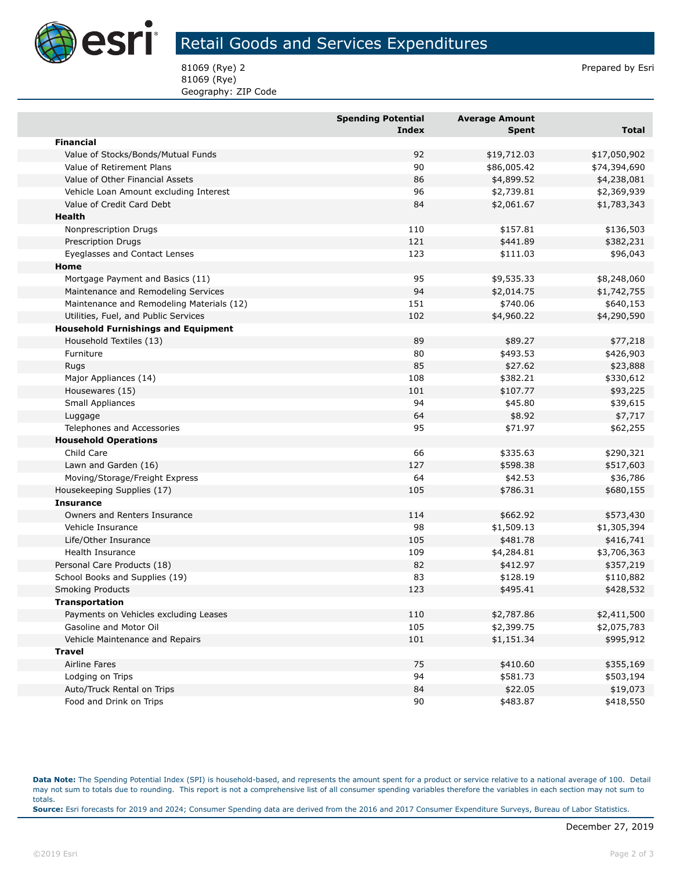

## Retail Goods and Services Expenditures

81069 (Rye) 2 Prepared by Esri 81069 (Rye) Geography: ZIP Code

|                                            | <b>Spending Potential</b><br>Index | <b>Average Amount</b><br><b>Spent</b> | <b>Total</b> |
|--------------------------------------------|------------------------------------|---------------------------------------|--------------|
| <b>Financial</b>                           |                                    |                                       |              |
| Value of Stocks/Bonds/Mutual Funds         | 92                                 | \$19,712.03                           | \$17,050,902 |
| Value of Retirement Plans                  | 90                                 | \$86,005.42                           | \$74,394,690 |
| Value of Other Financial Assets            | 86                                 | \$4,899.52                            | \$4,238,081  |
| Vehicle Loan Amount excluding Interest     | 96                                 | \$2,739.81                            | \$2,369,939  |
| Value of Credit Card Debt                  | 84                                 | \$2,061.67                            | \$1,783,343  |
| <b>Health</b>                              |                                    |                                       |              |
| Nonprescription Drugs                      | 110                                | \$157.81                              | \$136,503    |
| <b>Prescription Drugs</b>                  | 121                                | \$441.89                              | \$382,231    |
| Eyeglasses and Contact Lenses              | 123                                | \$111.03                              | \$96,043     |
| Home                                       |                                    |                                       |              |
| Mortgage Payment and Basics (11)           | 95                                 | \$9,535.33                            | \$8,248,060  |
| Maintenance and Remodeling Services        | 94                                 | \$2,014.75                            | \$1,742,755  |
| Maintenance and Remodeling Materials (12)  | 151                                | \$740.06                              | \$640,153    |
| Utilities, Fuel, and Public Services       | 102                                | \$4,960.22                            | \$4,290,590  |
| <b>Household Furnishings and Equipment</b> |                                    |                                       |              |
| Household Textiles (13)                    | 89                                 | \$89.27                               | \$77,218     |
| Furniture                                  | 80                                 | \$493.53                              | \$426,903    |
| Rugs                                       | 85                                 | \$27.62                               | \$23,888     |
| Major Appliances (14)                      | 108                                | \$382.21                              | \$330,612    |
| Housewares (15)                            | 101                                | \$107.77                              | \$93,225     |
| Small Appliances                           | 94                                 | \$45.80                               | \$39,615     |
| Luggage                                    | 64                                 | \$8.92                                | \$7,717      |
| Telephones and Accessories                 | 95                                 | \$71.97                               | \$62,255     |
| <b>Household Operations</b>                |                                    |                                       |              |
| Child Care                                 | 66                                 | \$335.63                              | \$290,321    |
| Lawn and Garden (16)                       | 127                                | \$598.38                              | \$517,603    |
| Moving/Storage/Freight Express             | 64                                 | \$42.53                               | \$36,786     |
| Housekeeping Supplies (17)                 | 105                                | \$786.31                              | \$680,155    |
| <b>Insurance</b>                           |                                    |                                       |              |
| Owners and Renters Insurance               | 114                                | \$662.92                              | \$573,430    |
| Vehicle Insurance                          | 98                                 | \$1,509.13                            | \$1,305,394  |
| Life/Other Insurance                       | 105                                | \$481.78                              | \$416,741    |
| Health Insurance                           | 109                                | \$4,284.81                            | \$3,706,363  |
| Personal Care Products (18)                | 82                                 | \$412.97                              | \$357,219    |
| School Books and Supplies (19)             | 83                                 | \$128.19                              | \$110,882    |
| <b>Smoking Products</b>                    | 123                                | \$495.41                              | \$428,532    |
| <b>Transportation</b>                      |                                    |                                       |              |
| Payments on Vehicles excluding Leases      | 110                                | \$2,787.86                            | \$2,411,500  |
| Gasoline and Motor Oil                     | 105                                | \$2,399.75                            | \$2,075,783  |
| Vehicle Maintenance and Repairs            | 101                                | \$1,151.34                            | \$995,912    |
| <b>Travel</b>                              |                                    |                                       |              |
| Airline Fares                              | 75                                 | \$410.60                              | \$355,169    |
| Lodging on Trips                           | 94                                 | \$581.73                              | \$503,194    |
| Auto/Truck Rental on Trips                 | 84                                 | \$22.05                               | \$19,073     |
| Food and Drink on Trips                    | 90                                 | \$483.87                              | \$418,550    |

**Data Note:** The Spending Potential Index (SPI) is household-based, and represents the amount spent for a product or service relative to a national average of 100. Detail may not sum to totals due to rounding. This report is not a comprehensive list of all consumer spending variables therefore the variables in each section may not sum to totals. **Source:** Esri forecasts for 2019 and 2024; Consumer Spending data are derived from the 2016 and 2017 Consumer Expenditure Surveys, Bureau of Labor Statistics.